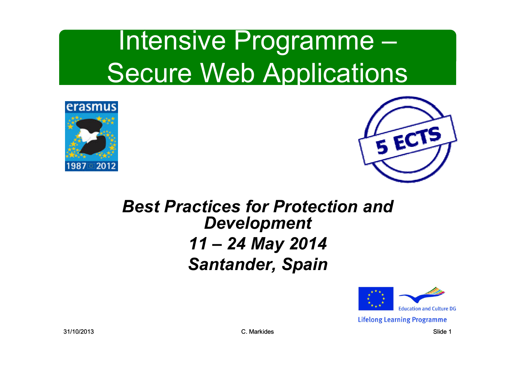





#### *Best Practices for Protection and Development 11 – 24 May 2014 Santander, Spain*



**Lifelong Learning Programme**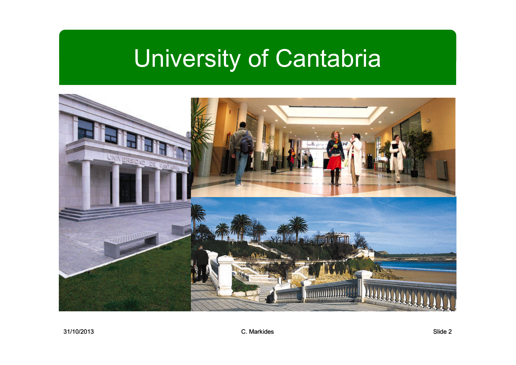## University of Cantabria

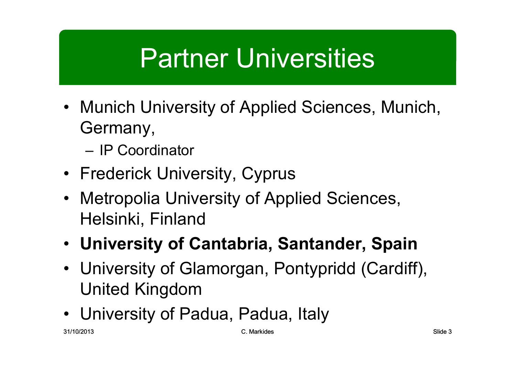### Partner Universities

- Munich University of Applied Sciences, Munich, Germany,
	- IP Coordinator
- Frederick University, Cyprus
- Metropolia University of Applied Sciences, Helsinki, Finland
- **University of Cantabria, Santander, Spain**
- University of Glamorgan, Pontypridd (Cardiff), United Kingdom
- University of Padua, Padua, Italy<br>"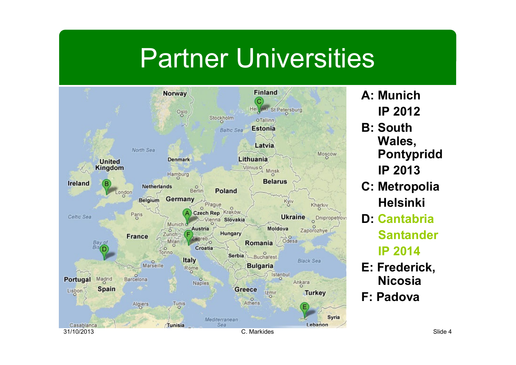#### Partner Universities



- **A: MunichIP 2012**
- **B: South Wales, PontypriddIP 2013**
- **C: MetropoliaHelsinki**
- **D: Cantabria SantanderIP 2014**
- **E: Frederick, Nicosia**
- **F: Padova**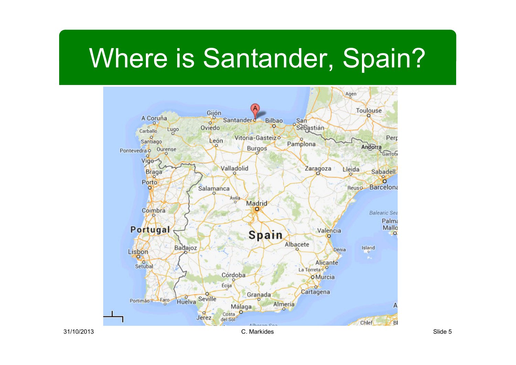#### Where is Santander, Spain?



31/10/2013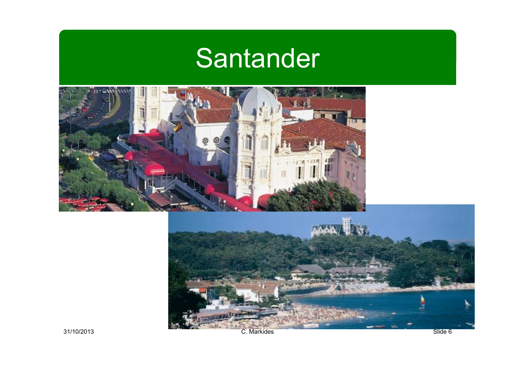## **Santander**





31/10/2013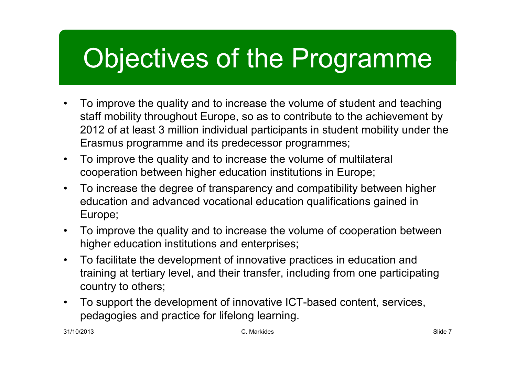## Objectives of the Programme

- • To improve the quality and to increase the volume of student and teaching staff mobility throughout Europe, so as to contribute to the achievement by 2012 of at least 3 million individual participants in student mobility under the Erasmus programme and its predecessor programmes;
- $\bullet$  To improve the quality and to increase the volume of multilateral cooperation between higher education institutions in Europe;
- $\bullet$  To increase the degree of transparency and compatibility between higher education and advanced vocational education qualifications gained in Europe;
- $\bullet$  To improve the quality and to increase the volume of cooperation between higher education institutions and enterprises;
- $\bullet$  To facilitate the development of innovative practices in education and training at tertiary level, and their transfer, including from one participating country to others;
- $\bullet$  To support the development of innovative ICT-based content, services, pedagogies and practice for lifelong learning.

31/10/2013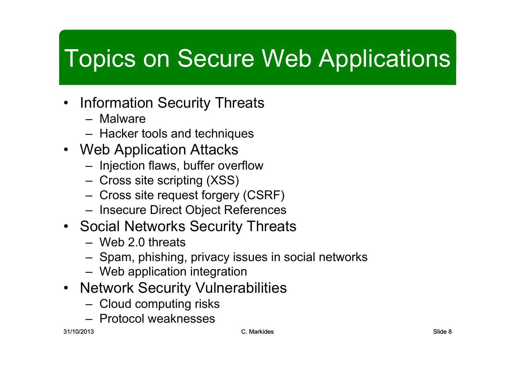#### Topics on Secure Web Applications

- $\bullet$  Information Security Threats
	- Malware<br>Llesker te
	- Hacker tools and techniques
- Web Application Attacks<br>Injection flave, buffer aver
	- Injection flaws, buffer overflow
	- Cross site scripting (XSS)
	- Cross site request forgery (CSRF)
	- Insecure Direct Object References
- Social Networks Security Threats<br>Web 3.0 threats
	- Web 2.0 threats
	- Spam, phishing, privacy issues in social networks
	- Web application integration
- Network Security Vulnerabilities<br>Cleud computing ricks
	- Cloud computing risks
	- Protocol weaknesses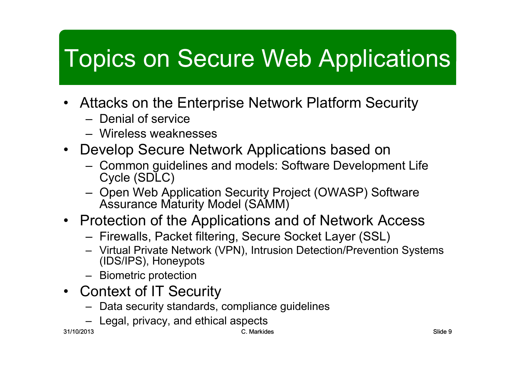#### Topics on Secure Web Applications

- $\bullet$  Attacks on the Enterprise Network Platform Security
	- Denial of service
	- Wireless weaknesses
- Develop Secure Network Applications based on<br>Cemmen quidelines and models: Seftware Developme
	- Common guidelines and models: Software Development Life<br>Cycle (SDLC) Cycle (SDLC)
	- Open Web Application Security Project (OWASP) Software<br>Assurance Maturity Model (SAMM) Assurance Maturity Model (SAMM)
- Protection of the Applications and of Network Access<br>Firewalls Backet filtering Secure Secket Laver (SSL)
	- Firewalls, Packet filtering, Secure Socket Layer (SSL)
	- Virtual Private Network (VPN), Intrusion Detection/Prevention Systems (IDS/IPS), Honeypots
	- Biometric protection
- Context of IT Security<br>Data security standards
	- Data security standards, compliance guidelines
	- Legal, privacy, and ethical aspects<br>'<sup>13</sup>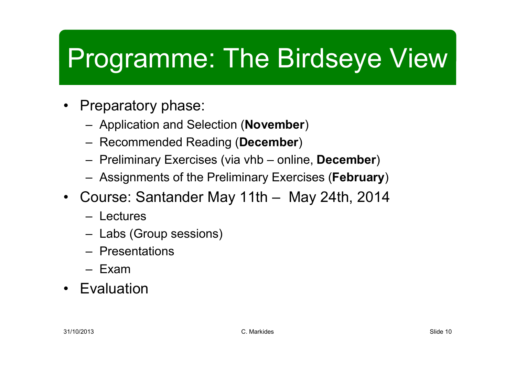# Programme: The Birdseye View

- Preparatory phase:
	- Application and Selection (**November**)
	- Recommended Reading (**December**)
	- Preliminary Exercises (via vhb online, **December**)
	- Assignments of the Preliminary Exercises (**February**)
- Course: Santander May 11th May 24th, 2014
	- **Lectures**
	- Labs (Group sessions)
	- Presentations
	- Exam
- Evaluation•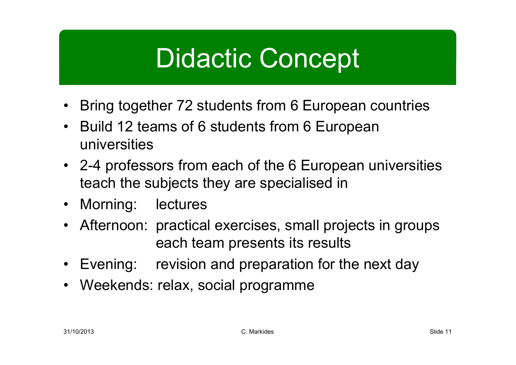#### Didactic Concept

- Bring together 72 students from 6 European countries
- Build 12 teams of 6 students from 6 European universities
- 2-4 professors from each of the 6 European universities teach the subjects they are specialised in
- Morning: lectures
- Afternoon: practical exercises, small projects in groups each team presents its results
- Evening: revision and preparation for the next day
- Weekends: relax, social programme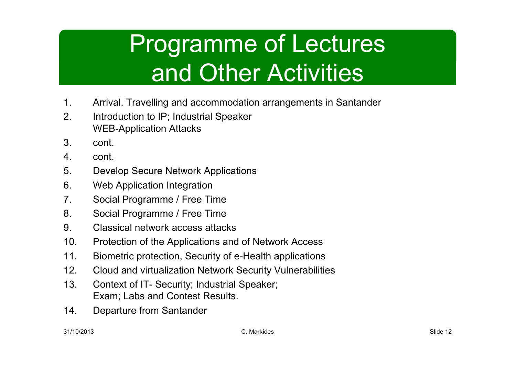### Programme of Lectures and Other Activities

- 1. Arrival. Travelling and accommodation arrangements in Santander<br>2. Introduction to IP: Industrial Speaker
- 2. Introduction to IP; Industrial Speaker WEB-Application Attacks
- 3. cont.
- 4. cont.<br>5. Deve
- 5. Develop Secure Network Applications<br>6. Web Application Integration
- 6. Web Application Integration<br>7. Social Programme / Free Ti
- 7. Social Programme / Free Time<br>8. Social Programme / Free Time
- 8. Social Programme / Free Time<br>9. Classical network access attac
- 9. Classical network access attacks<br>10. Protection of the Applications and
- 10. Protection of the Applications and of Network Access<br>11. Biometric protection. Security of e-Health applications
- 11. Biometric protection, Security of e-Health applications<br>12. Cloud and virtualization Network Security Vulnerabilitie
- 12. Cloud and virtualization Network Security Vulnerabilities<br>13. Context of IT- Security: Industrial Speaker:
- Context of IT- Security; Industrial Speaker; Exam; Labs and Contest Results.
- 14. Departure from Santander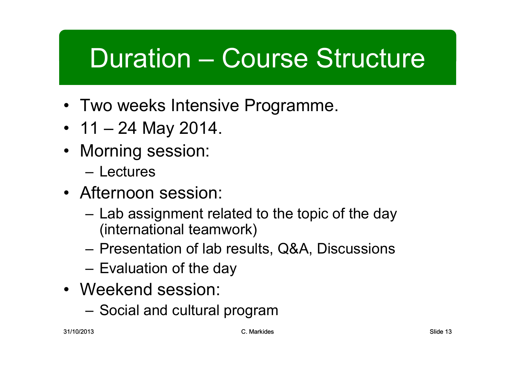## Duration – Course Structure

- Two weeks Intensive Programme.
- 11 24 May 2014.
- Morning session:
	- –Lectures
- Afternoon session:
	- Lab assignment related to the topic of the day (international teamwork)
	- –Presentation of lab results, Q&A, Discussions
	- –Evaluation of the day
- Weekend session:
	- Social and cultural program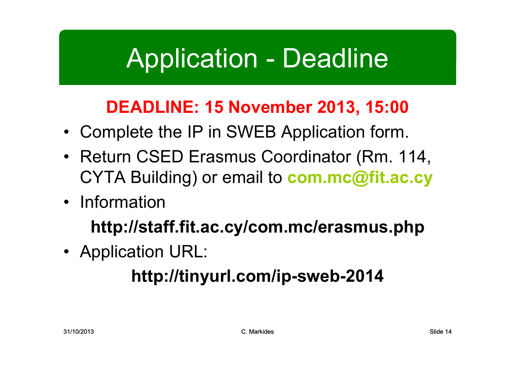#### Application - Deadline

#### **DEADLINE: 15 November 2013, 15:00**

- Complete the IP in SWEB Application form.
- Return CSED Erasmus Coordinator (Rm. 114, CYTA Building) or email to **com.mc@fit.ac.cy**
- Information

**http://staff.fit.ac.cy/com.mc/erasmus.php**

• Application URL:

#### **http://tinyurl.com/ip-sweb-2014**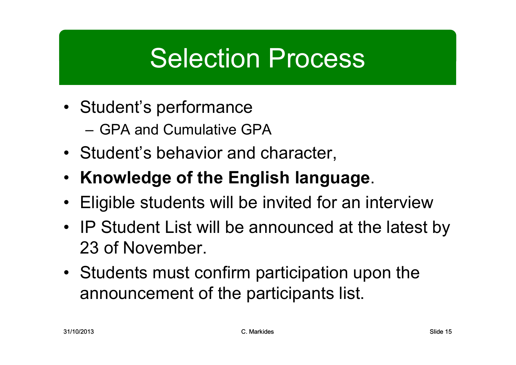#### Selection Process

- Student's performance
	- –GPA and Cumulative GPA
- Student's behavior and character,
- **Knowledge of the English language**.
- Eligible students will be invited for an interview
- IP Student List will be announced at the latest by 23 of November.
- Students must confirm participation upon the announcement of the participants list.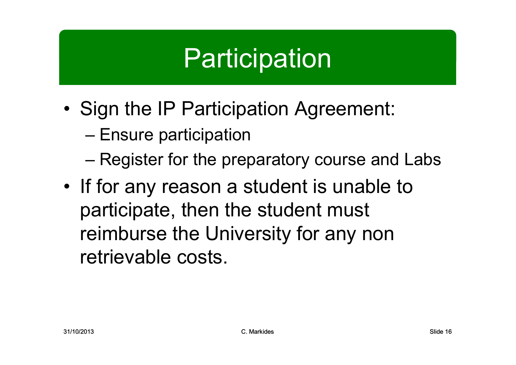## **Participation**

- •Sign the IP Participation Agreement:
	- –Ensure participation
	- –Register for the preparatory course and Labs
- •If for any reason a student is unable to participate, then the student must reimburse the University for any non retrievable costs.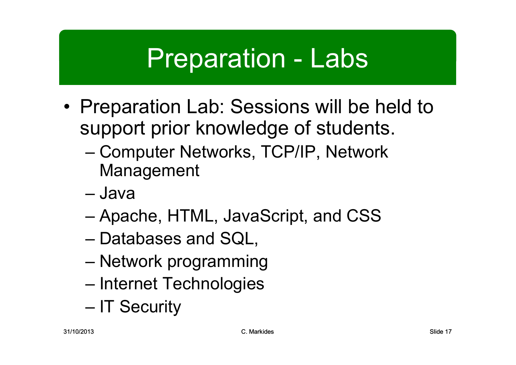#### Preparation - Labs

- •Preparation Lab: Sessions will be held to<br>Support prior knowledge of students support prior knowledge of students.
	- – Computer Networks, TCP/IP, Network Management
	- –Java
	- –Apache, HTML, JavaScript, and CSS
	- –Databases and SQL,
	- –Network programming
	- –Internet Technologies
	- –IT Security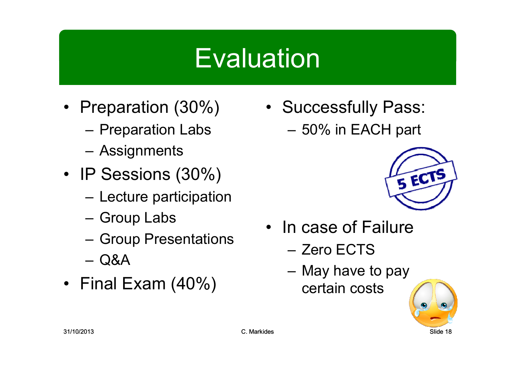#### **Evaluation**

- Preparation (30%)
	- –Preparation Labs
	- Assignments
- IP Sessions (30%)
	- Lecture participation
	- Group Labs
	- Group Presentations
	- Q&A
- Final Exam (40%)

• Successfully Pass: –50% in EACH part



- In case of Failure<br>————————
	- Zero ECTS
	- May have to pay certain costs

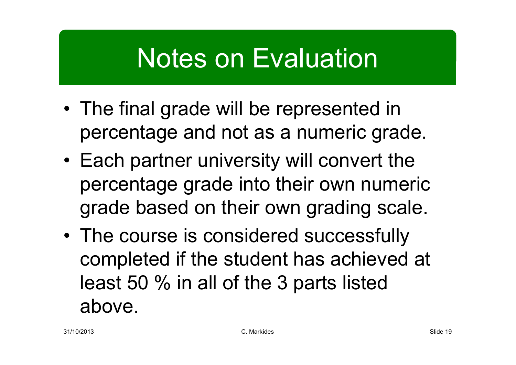### Notes on Evaluation

- •The final grade will be represented in percentage and not as a numeric grade.
- Each partner university will convert the<br>researchers are deliate their awn reveaui percentage grade into their own numeric grade based on their own grading scale.
- •The course is considered successfully completed if the student has achieved at least 50 % in all of the 3 parts listed above.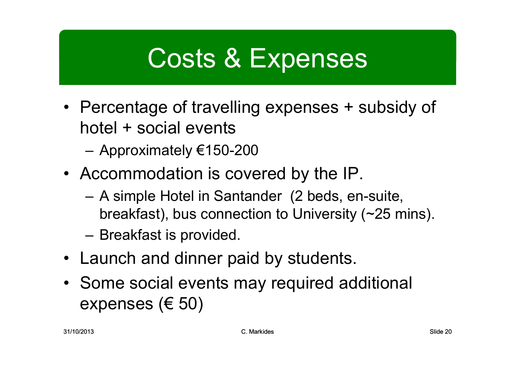## Costs & Expenses

- Percentage of travelling expenses + subsidy of hotel + social events
	- Approximately €150-200
- Accommodation is covered by the IP.
	- A simple Hotel in Santander (2 beds, en-suite, breakfast), bus connection to University (~25 mins).
	- Breakfast is provided.
- Launch and dinner paid by students.
- Some social events may required additional expenses ( $\in$  50)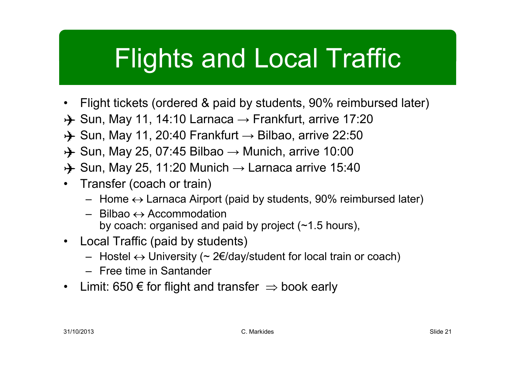## Flights and Local Traffic

- •Flight tickets (ordered & paid by students, 90% reimbursed later)
- A Sun, May 11, 14:10 Larnaca → Frankfurt, arrive 17:20<br>A Sun, May 11, 20:40 Erankfurt → Bilbao, arrive 22:50
- A Sun, May 11, 20:40 Frankfurt → Bilbao, arrive 22:50<br>A Sun, May 25, 07:45 Bilbao, Munich, arrive 10:00
- A Sun, May 25, 07:45 Bilbao → Munich, arrive 10:00<br>A Sun, May 25, 11:20 Munich → Larnaca arrive 15:4
- A Sun, May 25, 11:20 Munich → Larnaca arrive 15:40<br>• Transfer (coach er train)
- • Transfer (coach or train)
	- Home ↔ Larnaca Airport (paid by students, 90% reimbursed later)<br>Rilbao <১ Accommodation
	- Bilbao <sup>↔</sup>Accommodation by coach: organised and paid by project (~1.5 hours),
- Local Traffic (paid by students)
	- Hostel <sup>↔</sup> University (~ 2€/day/student for local train or coach)
	- Free time in Santander
- Limit: 650 € for flight and transfer  $\Rightarrow$  book early